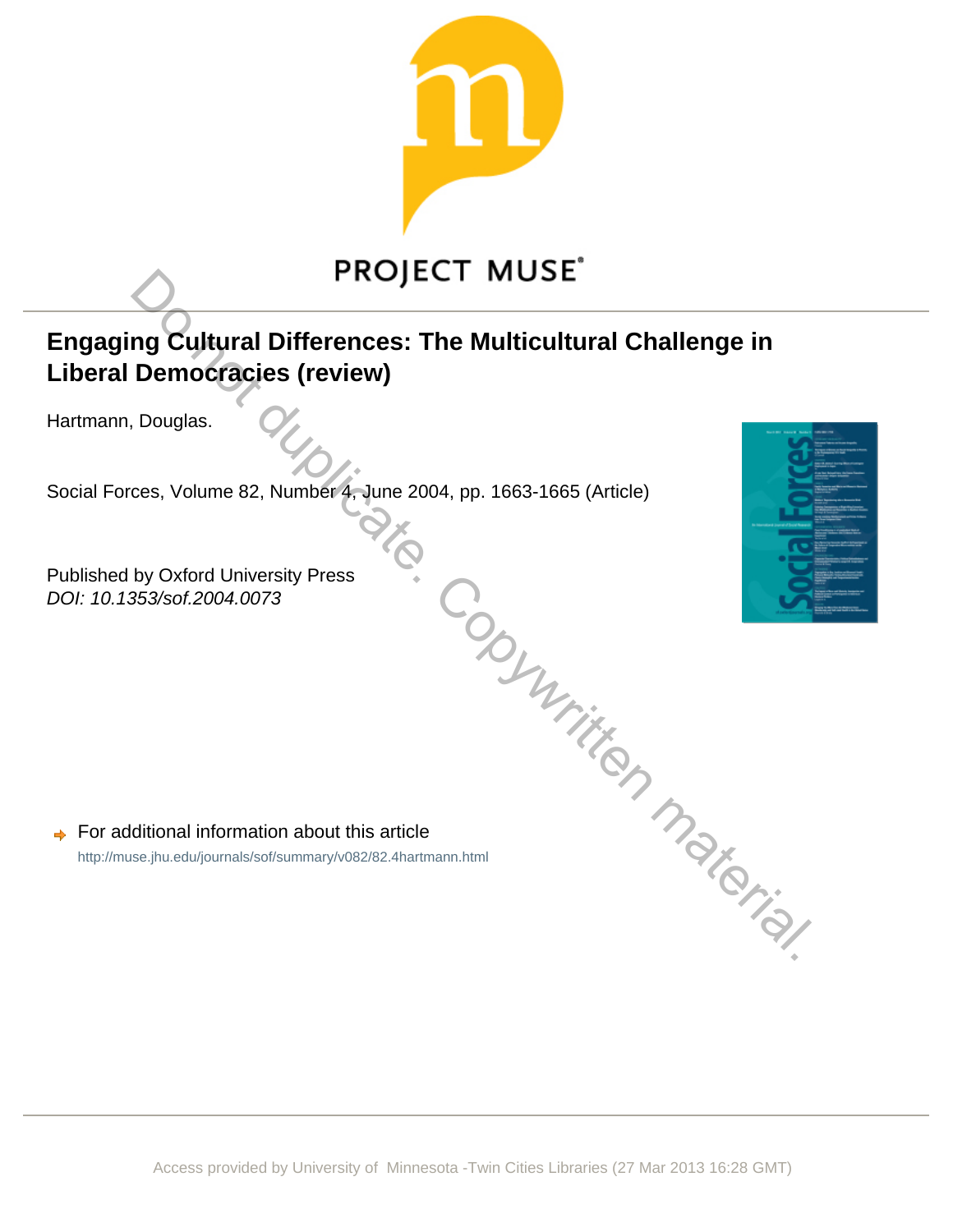

# **Engaging Cultural Differences: The Multicultural Challenge in Liberal Democracies (review)** PROJECT MUSE<sup>\*</sup><br>
ences: The Multicultural Challenge in<br>
view)<br>
extraple 2004, pp. 1663-1665 (Article)<br>
extraple 2004, pp. 1663-1665 (Article)<br>
extraple 2004, pp. 1663-1665 (Article)<br>
and the contract of the contract of the

Hartmann, Douglas.

Social Forces, Volume 82, Number 4, June 2004, pp. 1663-1665 (Article)

Published by Oxford University Press DOI: 10.1353/sof.2004.0073



For additional information about this article http://muse.jhu.edu/journals/sof/summary/v082/82.4hartmann.html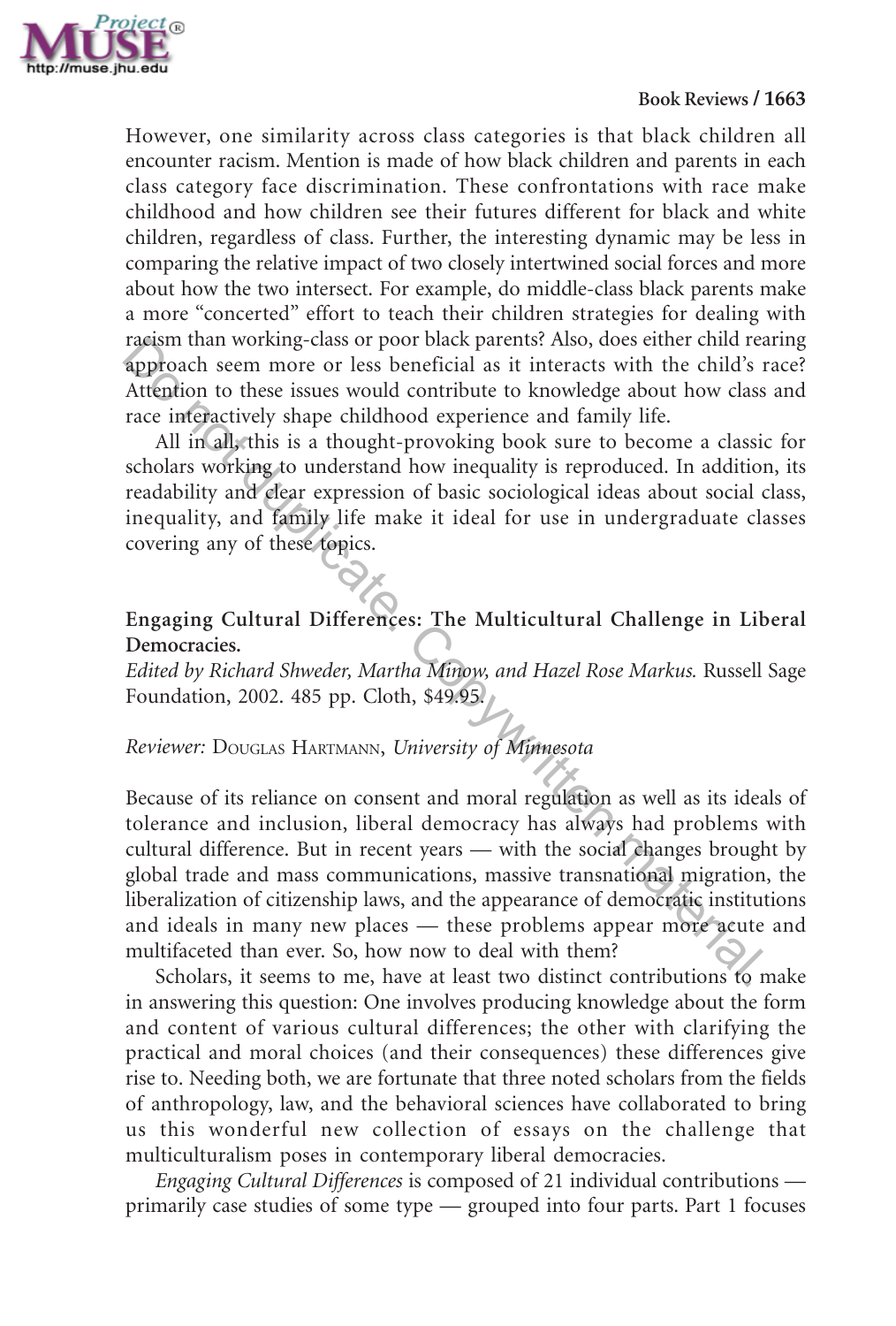

However, one similarity across class categories is that black children all encounter racism. Mention is made of how black children and parents in each class category face discrimination. These confrontations with race make childhood and how children see their futures different for black and white children, regardless of class. Further, the interesting dynamic may be less in comparing the relative impact of two closely intertwined social forces and more about how the two intersect. For example, do middle-class black parents make a more "concerted" effort to teach their children strategies for dealing with racism than working-class or poor black parents? Also, does either child rearing approach seem more or less beneficial as it interacts with the child's race? Attention to these issues would contribute to knowledge about how class and race interactively shape childhood experience and family life.

All in all, this is a thought-provoking book sure to become a classic for scholars working to understand how inequality is reproduced. In addition, its readability and clear expression of basic sociological ideas about social class, inequality, and family life make it ideal for use in undergraduate classes covering any of these topics.

## **Engaging Cultural Differences: The Multicultural Challenge in Liberal Democracies.**

*Edited by Richard Shweder, Martha Minow, and Hazel Rose Markus.* Russell Sage Foundation, 2002. 485 pp. Cloth, \$49.95.

### *Reviewer:* DOUGLAS HARTMANN, *University of Minnesota*

Because of its reliance on consent and moral regulation as well as its ideals of tolerance and inclusion, liberal democracy has always had problems with cultural difference. But in recent years — with the social changes brought by global trade and mass communications, massive transnational migration, the liberalization of citizenship laws, and the appearance of democratic institutions and ideals in many new places — these problems appear more acute and multifaceted than ever. So, how now to deal with them? ragism than working-class or poor black parents? Also, does either chud reapproach seem more or less beneficial as it interacts with the child's Attention to these issues would contribute to knowledge about how class and

Scholars, it seems to me, have at least two distinct contributions to make in answering this question: One involves producing knowledge about the form and content of various cultural differences; the other with clarifying the practical and moral choices (and their consequences) these differences give rise to. Needing both, we are fortunate that three noted scholars from the fields of anthropology, law, and the behavioral sciences have collaborated to bring us this wonderful new collection of essays on the challenge that multiculturalism poses in contemporary liberal democracies.

*Engaging Cultural Differences* is composed of 21 individual contributions primarily case studies of some type — grouped into four parts. Part 1 focuses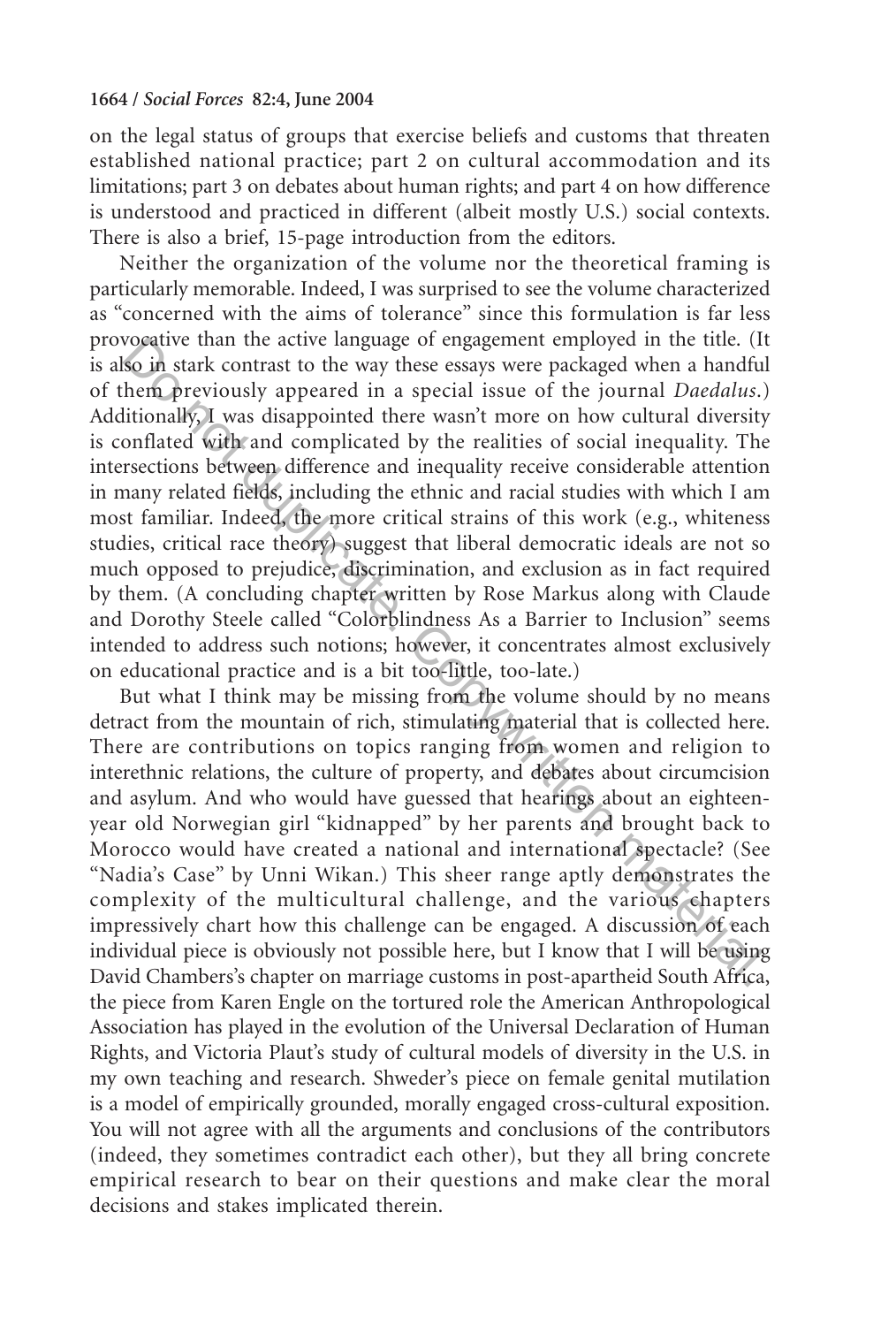### **1664 /** *Social Forces* **82:4, June 2004**

on the legal status of groups that exercise beliefs and customs that threaten established national practice; part 2 on cultural accommodation and its limitations; part 3 on debates about human rights; and part 4 on how difference is understood and practiced in different (albeit mostly U.S.) social contexts. There is also a brief, 15-page introduction from the editors.

Neither the organization of the volume nor the theoretical framing is particularly memorable. Indeed, I was surprised to see the volume characterized as "concerned with the aims of tolerance" since this formulation is far less provocative than the active language of engagement employed in the title. (It is also in stark contrast to the way these essays were packaged when a handful of them previously appeared in a special issue of the journal *Daedalus*.) Additionally, I was disappointed there wasn't more on how cultural diversity is conflated with and complicated by the realities of social inequality. The intersections between difference and inequality receive considerable attention in many related fields, including the ethnic and racial studies with which I am most familiar. Indeed, the more critical strains of this work (e.g., whiteness studies, critical race theory) suggest that liberal democratic ideals are not so much opposed to prejudice, discrimination, and exclusion as in fact required by them. (A concluding chapter written by Rose Markus along with Claude and Dorothy Steele called "Colorblindness As a Barrier to Inclusion" seems intended to address such notions; however, it concentrates almost exclusively on educational practice and is a bit too-little, too-late.) orgature than the active ianguage or engagement remptoped in the tute. Ut So in stark contrast to the way these essays were packaged when a handfulent here went have the second is such as the plurial Daedalus. Itionally, I

But what I think may be missing from the volume should by no means detract from the mountain of rich, stimulating material that is collected here. There are contributions on topics ranging from women and religion to interethnic relations, the culture of property, and debates about circumcision and asylum. And who would have guessed that hearings about an eighteenyear old Norwegian girl "kidnapped" by her parents and brought back to Morocco would have created a national and international spectacle? (See "Nadia's Case" by Unni Wikan.) This sheer range aptly demonstrates the complexity of the multicultural challenge, and the various chapters impressively chart how this challenge can be engaged. A discussion of each individual piece is obviously not possible here, but I know that I will be using David Chambers's chapter on marriage customs in post-apartheid South Africa, the piece from Karen Engle on the tortured role the American Anthropological Association has played in the evolution of the Universal Declaration of Human Rights, and Victoria Plaut's study of cultural models of diversity in the U.S. in my own teaching and research. Shweder's piece on female genital mutilation is a model of empirically grounded, morally engaged cross-cultural exposition. You will not agree with all the arguments and conclusions of the contributors (indeed, they sometimes contradict each other), but they all bring concrete empirical research to bear on their questions and make clear the moral decisions and stakes implicated therein.